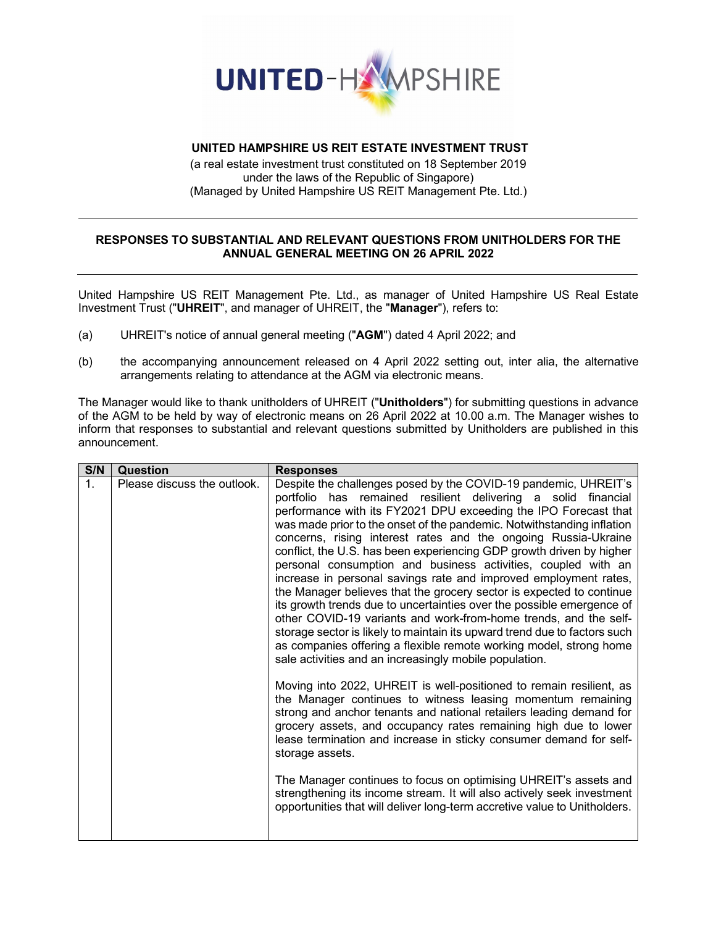

# **UNITED HAMPSHIRE US REIT ESTATE INVESTMENT TRUST**

(a real estate investment trust constituted on 18 September 2019 under the laws of the Republic of Singapore) (Managed by United Hampshire US REIT Management Pte. Ltd.)

## **RESPONSES TO SUBSTANTIAL AND RELEVANT QUESTIONS FROM UNITHOLDERS FOR THE ANNUAL GENERAL MEETING ON 26 APRIL 2022**

United Hampshire US REIT Management Pte. Ltd., as manager of United Hampshire US Real Estate Investment Trust ("**UHREIT**", and manager of UHREIT, the "**Manager**"), refers to:

- (a) UHREIT's notice of annual general meeting ("**AGM**") dated 4 April 2022; and
- (b) the accompanying announcement released on 4 April 2022 setting out, inter alia, the alternative arrangements relating to attendance at the AGM via electronic means.

The Manager would like to thank unitholders of UHREIT ("**Unitholders**") for submitting questions in advance of the AGM to be held by way of electronic means on 26 April 2022 at 10.00 a.m. The Manager wishes to inform that responses to substantial and relevant questions submitted by Unitholders are published in this announcement.

| S/N         | Question                    | <b>Responses</b>                                                                                                                                                                                                                                                                                                                                                                                                                                                                                                                                                                                                                                                                                                                                                                                                                                                                                                                                                                               |
|-------------|-----------------------------|------------------------------------------------------------------------------------------------------------------------------------------------------------------------------------------------------------------------------------------------------------------------------------------------------------------------------------------------------------------------------------------------------------------------------------------------------------------------------------------------------------------------------------------------------------------------------------------------------------------------------------------------------------------------------------------------------------------------------------------------------------------------------------------------------------------------------------------------------------------------------------------------------------------------------------------------------------------------------------------------|
| $\mathbf 1$ | Please discuss the outlook. | Despite the challenges posed by the COVID-19 pandemic, UHREIT's<br>portfolio has remained resilient delivering a solid financial<br>performance with its FY2021 DPU exceeding the IPO Forecast that<br>was made prior to the onset of the pandemic. Notwithstanding inflation<br>concerns, rising interest rates and the ongoing Russia-Ukraine<br>conflict, the U.S. has been experiencing GDP growth driven by higher<br>personal consumption and business activities, coupled with an<br>increase in personal savings rate and improved employment rates,<br>the Manager believes that the grocery sector is expected to continue<br>its growth trends due to uncertainties over the possible emergence of<br>other COVID-19 variants and work-from-home trends, and the self-<br>storage sector is likely to maintain its upward trend due to factors such<br>as companies offering a flexible remote working model, strong home<br>sale activities and an increasingly mobile population. |
|             |                             | Moving into 2022, UHREIT is well-positioned to remain resilient, as<br>the Manager continues to witness leasing momentum remaining<br>strong and anchor tenants and national retailers leading demand for<br>grocery assets, and occupancy rates remaining high due to lower<br>lease termination and increase in sticky consumer demand for self-<br>storage assets.                                                                                                                                                                                                                                                                                                                                                                                                                                                                                                                                                                                                                          |
|             |                             | The Manager continues to focus on optimising UHREIT's assets and<br>strengthening its income stream. It will also actively seek investment<br>opportunities that will deliver long-term accretive value to Unitholders.                                                                                                                                                                                                                                                                                                                                                                                                                                                                                                                                                                                                                                                                                                                                                                        |